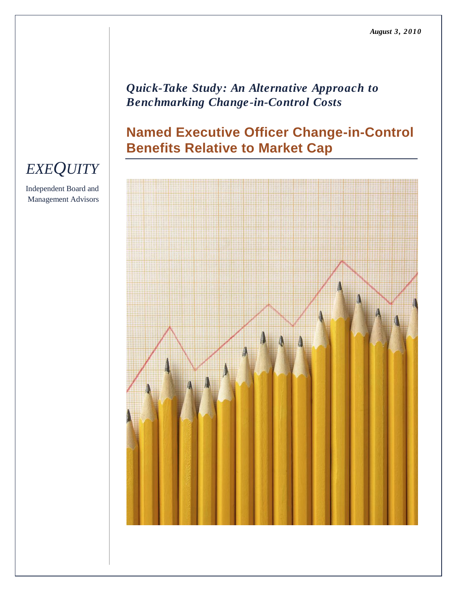### *Quick-Take Study: An Alternative Approach to Benchmarking Change-in-Control Costs*

### **Named Executive Officer Change-in-Control Benefits Relative to Market Cap**



# *EXEQUITY*

Independent Board and Management Advisors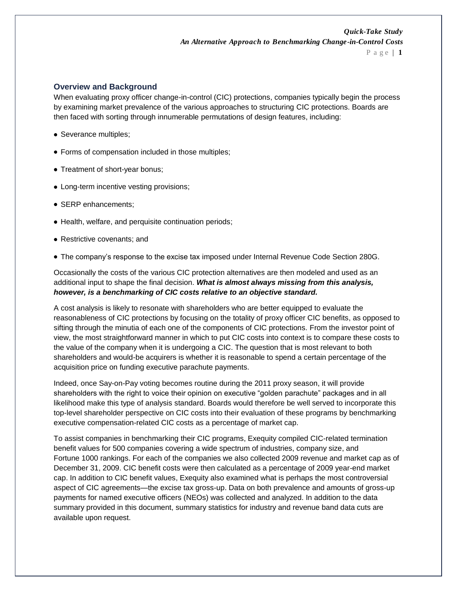#### **Overview and Background**

When evaluating proxy officer change-in-control (CIC) protections, companies typically begin the process by examining market prevalence of the various approaches to structuring CIC protections. Boards are then faced with sorting through innumerable permutations of design features, including:

- Severance multiples;
- Forms of compensation included in those multiples;
- Treatment of short-year bonus;
- Long-term incentive vesting provisions;
- SERP enhancements;
- Health, welfare, and perquisite continuation periods;
- Restrictive covenants; and
- The company's response to the excise tax imposed under Internal Revenue Code Section 280G.

Occasionally the costs of the various CIC protection alternatives are then modeled and used as an additional input to shape the final decision. *What is almost always missing from this analysis, however, is a benchmarking of CIC costs relative to an objective standard.* 

A cost analysis is likely to resonate with shareholders who are better equipped to evaluate the reasonableness of CIC protections by focusing on the totality of proxy officer CIC benefits, as opposed to sifting through the minutia of each one of the components of CIC protections. From the investor point of view, the most straightforward manner in which to put CIC costs into context is to compare these costs to the value of the company when it is undergoing a CIC. The question that is most relevant to both shareholders and would-be acquirers is whether it is reasonable to spend a certain percentage of the acquisition price on funding executive parachute payments.

Indeed, once Say-on-Pay voting becomes routine during the 2011 proxy season, it will provide shareholders with the right to voice their opinion on executive "golden parachute" packages and in all likelihood make this type of analysis standard. Boards would therefore be well served to incorporate this top-level shareholder perspective on CIC costs into their evaluation of these programs by benchmarking executive compensation-related CIC costs as a percentage of market cap.

To assist companies in benchmarking their CIC programs, Exequity compiled CIC-related termination benefit values for 500 companies covering a wide spectrum of industries, company size, and Fortune 1000 rankings. For each of the companies we also collected 2009 revenue and market cap as of December 31, 2009. CIC benefit costs were then calculated as a percentage of 2009 year-end market cap. In addition to CIC benefit values, Exequity also examined what is perhaps the most controversial aspect of CIC agreements—the excise tax gross-up. Data on both prevalence and amounts of gross-up payments for named executive officers (NEOs) was collected and analyzed. In addition to the data summary provided in this document, summary statistics for industry and revenue band data cuts are available upon request.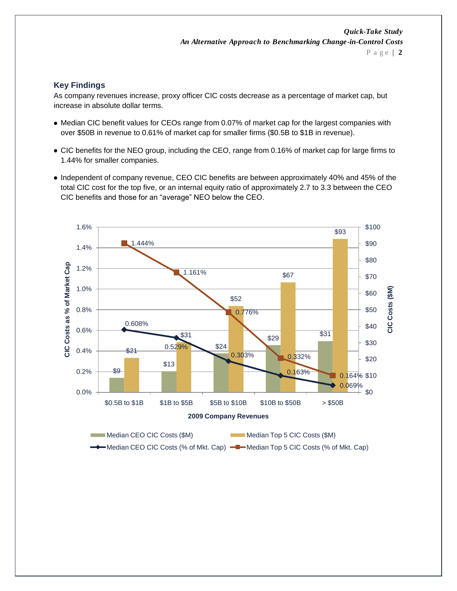#### **Key Findings**

As company revenues increase, proxy officer CIC costs decrease as a percentage of market cap, but increase in absolute dollar terms.

- Median CIC benefit values for CEOs range from 0.07% of market cap for the largest companies with over \$50B in revenue to 0.61% of market cap for smaller firms (\$0.5B to \$1B in revenue).
- CIC benefits for the NEO group, including the CEO, range from 0.16% of market cap for large firms to 1.44% for smaller companies.
- Independent of company revenue, CEO CIC benefits are between approximately 40% and 45% of the total CIC cost for the top five, or an internal equity ratio of approximately 2.7 to 3.3 between the CEO CIC benefits and those for an "average" NEO below the CEO.

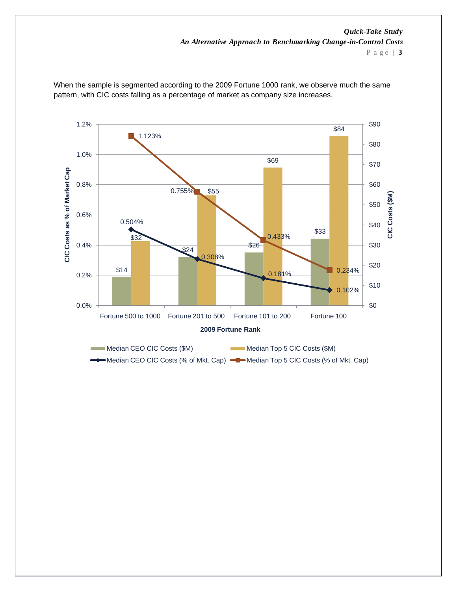P a g e | **3**



When the sample is segmented according to the 2009 Fortune 1000 rank, we observe much the same pattern, with CIC costs falling as a percentage of market as company size increases.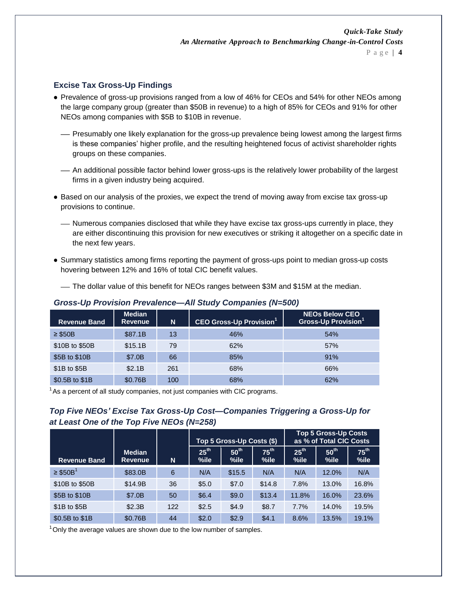#### **Excise Tax Gross-Up Findings**

- Prevalence of gross-up provisions ranged from a low of 46% for CEOs and 54% for other NEOs among the large company group (greater than \$50B in revenue) to a high of 85% for CEOs and 91% for other NEOs among companies with \$5B to \$10B in revenue.
	- Presumably one likely explanation for the gross-up prevalence being lowest among the largest firms is these companies' higher profile, and the resulting heightened focus of activist shareholder rights groups on these companies.
	- An additional possible factor behind lower gross-ups is the relatively lower probability of the largest firms in a given industry being acquired.
- Based on our analysis of the proxies, we expect the trend of moving away from excise tax gross-up provisions to continue.
	- Numerous companies disclosed that while they have excise tax gross-ups currently in place, they are either discontinuing this provision for new executives or striking it altogether on a specific date in the next few years.
- Summary statistics among firms reporting the payment of gross-ups point to median gross-up costs hovering between 12% and 16% of total CIC benefit values.

The dollar value of this benefit for NEOs ranges between \$3M and \$15M at the median.

| <b>Revenue Band</b> | <b>Median</b><br><b>Revenue</b> | N   | <b>CEO Gross-Up Provision</b> | <b>NEOs Below CEO</b><br>Gross-Up Provision <sup>1</sup> |
|---------------------|---------------------------------|-----|-------------------------------|----------------------------------------------------------|
| $\geq$ \$50B        | \$87.1B                         | 13  | 46%                           | 54%                                                      |
| \$10B to \$50B      | \$15.1B                         | 79  | 62%                           | 57%                                                      |
| \$5B to \$10B       | \$7.0B                          | 66  | 85%                           | 91%                                                      |
| \$1B to \$5B        | \$2.1B                          | 261 | 68%                           | 66%                                                      |
| \$0.5B to \$1B      | \$0.76B                         | 100 | 68%                           | 62%                                                      |

#### *Gross-Up Provision Prevalence—All Study Companies (N=500)*

 $1$ As a percent of all study companies, not just companies with CIC programs.

### *Top Five NEOs' Excise Tax Gross-Up Cost—Companies Triggering a Gross-Up for at Least One of the Top Five NEOs (N=258)*

|                           |                                 |     |                          | Top 5 Gross-Up Costs (\$) |                          | <b>Top 5 Gross-Up Costs</b><br>as % of Total CIC Costs |                          |                          |  |
|---------------------------|---------------------------------|-----|--------------------------|---------------------------|--------------------------|--------------------------------------------------------|--------------------------|--------------------------|--|
| <b>Revenue Band</b>       | <b>Median</b><br><b>Revenue</b> | N   | 25 <sup>th</sup><br>%ile | 50 <sup>th</sup><br>%ile  | $75^{\text{th}}$<br>%ile | 25 <sup>th</sup><br>$%$ ile                            | 50 <sup>th</sup><br>%ile | $75^{\text{th}}$<br>%ile |  |
| $\geq$ \$50B <sup>1</sup> | \$83.0B                         | 6   | N/A                      | \$15.5                    | N/A                      | N/A                                                    | 12.0%                    | N/A                      |  |
| \$10B to \$50B            | \$14.9B                         | 36  | \$5.0                    | \$7.0                     | \$14.8                   | 7.8%                                                   | 13.0%                    | 16.8%                    |  |
| \$5B to \$10B             | \$7.0B                          | 50  | \$6.4                    | \$9.0                     | \$13.4                   | 11.8%                                                  | 16.0%                    | 23.6%                    |  |
| \$1B to \$5B              | \$2.3B                          | 122 | \$2.5                    | \$4.9                     | \$8.7                    | 7.7%                                                   | 14.0%                    | 19.5%                    |  |
| \$0.5B to \$1B            | \$0.76B                         | 44  | \$2.0                    | \$2.9                     | \$4.1                    | 8.6%                                                   | 13.5%                    | 19.1%                    |  |

 $1$ Only the average values are shown due to the low number of samples.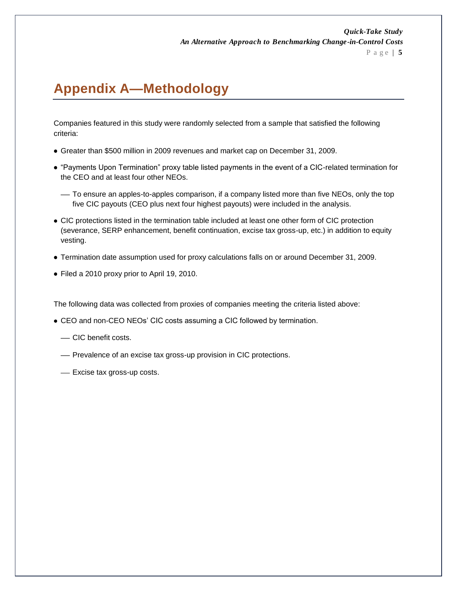## **Appendix A—Methodology**

Companies featured in this study were randomly selected from a sample that satisfied the following criteria:

- Greater than \$500 million in 2009 revenues and market cap on December 31, 2009.
- ―Payments Upon Termination‖ proxy table listed payments in the event of a CIC-related termination for the CEO and at least four other NEOs.
	- To ensure an apples-to-apples comparison, if a company listed more than five NEOs, only the top five CIC payouts (CEO plus next four highest payouts) were included in the analysis.
- CIC protections listed in the termination table included at least one other form of CIC protection (severance, SERP enhancement, benefit continuation, excise tax gross-up, etc.) in addition to equity vesting.
- Termination date assumption used for proxy calculations falls on or around December 31, 2009.
- Filed a 2010 proxy prior to April 19, 2010.

The following data was collected from proxies of companies meeting the criteria listed above:

- CEO and non-CEO NEOs' CIC costs assuming a CIC followed by termination.
	- CIC benefit costs.
	- Prevalence of an excise tax gross-up provision in CIC protections.
	- Excise tax gross-up costs.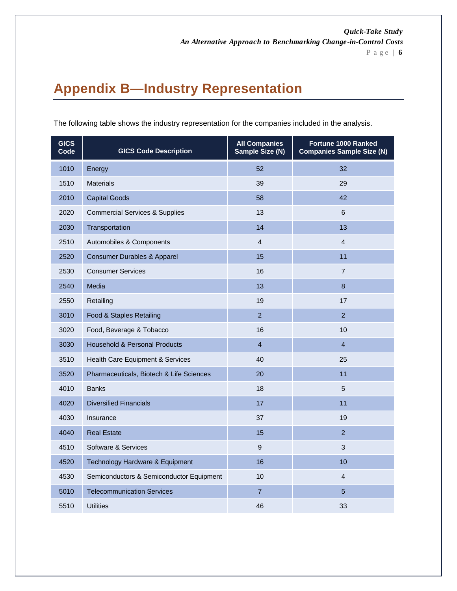P a g e | **6**

## **Appendix B—Industry Representation**

| <b>GICS</b><br>Code | <b>GICS Code Description</b>              | <b>All Companies</b><br>Sample Size (N) | <b>Fortune 1000 Ranked</b><br><b>Companies Sample Size (N)</b> |
|---------------------|-------------------------------------------|-----------------------------------------|----------------------------------------------------------------|
| 1010                | Energy                                    | 52                                      | 32                                                             |
| 1510                | <b>Materials</b>                          | 39                                      | 29                                                             |
| 2010                | <b>Capital Goods</b>                      | 58                                      | 42                                                             |
| 2020                | <b>Commercial Services &amp; Supplies</b> | 13                                      | 6                                                              |
| 2030                | Transportation                            | 14                                      | 13                                                             |
| 2510                | Automobiles & Components                  | $\overline{4}$                          | $\overline{4}$                                                 |
| 2520                | <b>Consumer Durables &amp; Apparel</b>    | 15                                      | 11                                                             |
| 2530                | <b>Consumer Services</b>                  | 16                                      | $\overline{7}$                                                 |
| 2540                | Media                                     | 13                                      | 8                                                              |
| 2550                | Retailing                                 | 19                                      | 17                                                             |
| 3010                | Food & Staples Retailing                  | $\overline{2}$                          | $\overline{2}$                                                 |
| 3020                | Food, Beverage & Tobacco                  | 16                                      | 10                                                             |
| 3030                | <b>Household &amp; Personal Products</b>  | $\overline{4}$                          | $\overline{4}$                                                 |
| 3510                | Health Care Equipment & Services          | 40                                      | 25                                                             |
| 3520                | Pharmaceuticals, Biotech & Life Sciences  | 20                                      | 11                                                             |
| 4010                | <b>Banks</b>                              | 18                                      | 5                                                              |
| 4020                | <b>Diversified Financials</b>             | 17                                      | 11                                                             |
| 4030                | Insurance                                 | 37                                      | 19                                                             |
| 4040                | <b>Real Estate</b>                        | 15                                      | $\overline{2}$                                                 |
| 4510                | Software & Services                       | 9                                       | 3                                                              |
| 4520                | Technology Hardware & Equipment           | 16                                      | 10                                                             |
| 4530                | Semiconductors & Semiconductor Equipment  | 10                                      | $\overline{4}$                                                 |
| 5010                | <b>Telecommunication Services</b>         | $\overline{7}$                          | 5                                                              |
| 5510                | <b>Utilities</b>                          | 46                                      | 33                                                             |

The following table shows the industry representation for the companies included in the analysis.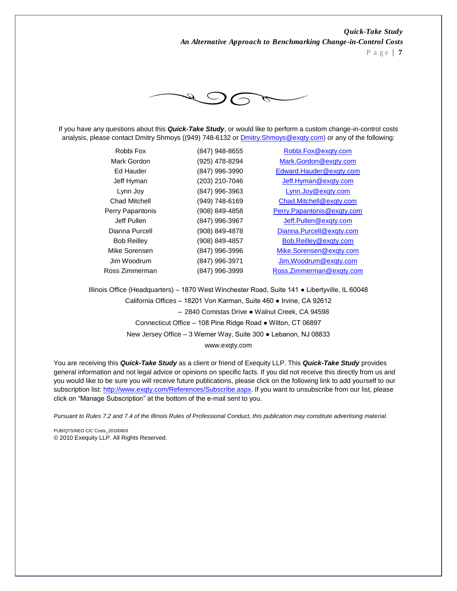P a g e | **7**



If you have any questions about this *Quick-Take Study*, or would like to perform a custom change-in-control costs analysis, please contact Dmitry Shmoys ((949) 748-6132 or **Dmitry. Shmoys@exqty.com)** or any of the following:

| Robbi Fox          | (847) 948-8655 | Robbi.Fox@exgty.com        |
|--------------------|----------------|----------------------------|
| Mark Gordon        | (925) 478-8294 | Mark.Gordon@exqty.com      |
| Ed Hauder          | (847) 996-3990 | Edward.Hauder@exgty.com    |
| Jeff Hyman         | (203) 210-7046 | Jeff.Hyman@exqty.com       |
| Lynn Joy           | (847) 996-3963 | Lynn.Joy@exqty.com         |
| Chad Mitchell      | (949) 748-6169 | Chad.Mitchell@exqty.com    |
| Perry Papantonis   | (908) 849-4858 | Perry.Papantonis@exqty.com |
| Jeff Pullen        | (847) 996-3967 | Jeff.Pullen@exqty.com      |
| Dianna Purcell     | (908) 849-4878 | Dianna.Purcell@exqty.com   |
| <b>Bob Reilley</b> | (908) 849-4857 | Bob.Reilley@exqty.com      |
| Mike Sorensen      | (847) 996-3996 | Mike.Sorensen@exqty.com    |
| Jim Woodrum        | (847) 996-3971 | Jim.Woodrum@exqty.com      |
| Ross Zimmerman     | (847) 996-3999 | Ross.Zimmerman@exgty.com   |

Illinois Office (Headquarters) – 1870 West Winchester Road, Suite 141 ● Libertyville, IL 60048 California Offices – 18201 Von Karman, Suite 460 ● Irvine, CA 92612 – 2840 Comistas Drive ● Walnut Creek, CA 94598 Connecticut Office – 108 Pine Ridge Road ● Wilton, CT 06897 New Jersey Office – 3 Werner Way, Suite 300 ● Lebanon, NJ 08833 www.exqty.com

You are receiving this *Quick-Take Study* as a client or friend of Exequity LLP. This *Quick-Take Study* provides general information and not legal advice or opinions on specific facts. If you did not receive this directly from us and you would like to be sure you will receive future publications, please click on the following link to add yourself to our subscription list: [http://www.exqty.com/References/Subscribe.aspx.](http://www.exqty.com/References/Subscribe.aspx) If you want to unsubscribe from our list, please click on "Manage Subscription" at the bottom of the e-mail sent to you.

*Pursuant to Rules 7.2 and 7.4 of the Illinois Rules of Professional Conduct, this publication may constitute advertising material.*

PUB/OTS/NEO CIC Costs\_20100803 © 2010 Exequity LLP. All Rights Reserved.